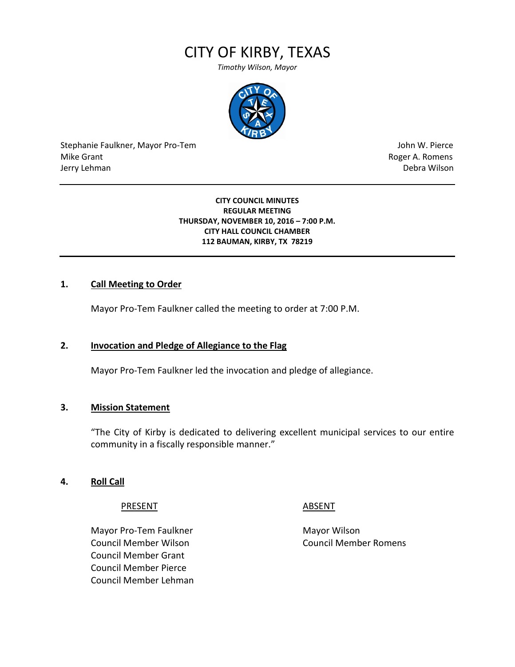# CITY OF KIRBY, TEXAS

*Timothy Wilson, Mayor*



Stephanie Faulkner, Mayor Pro-Tem John W. Pierce Mike Grant **Roger A. Romens** Jerry Lehman Debra Wilson (2008) and the state of the state of the state of the state of the state of the state of the state of the state of the state of the state of the state of the state of the state of the state of the

#### **CITY COUNCIL MINUTES REGULAR MEETING THURSDAY, NOVEMBER 10, 2016 – 7:00 P.M. CITY HALL COUNCIL CHAMBER 112 BAUMAN, KIRBY, TX 78219**

### **1. Call Meeting to Order**

Mayor Pro-Tem Faulkner called the meeting to order at 7:00 P.M.

### **2. Invocation and Pledge of Allegiance to the Flag**

Mayor Pro-Tem Faulkner led the invocation and pledge of allegiance.

#### **3. Mission Statement**

"The City of Kirby is dedicated to delivering excellent municipal services to our entire community in a fiscally responsible manner."

#### **4. Roll Call**

PRESENT ABSENT

Mayor Pro-Tem Faulkner Mayor Wilson Council Member Wilson Council Member Romens Council Member Grant Council Member Pierce Council Member Lehman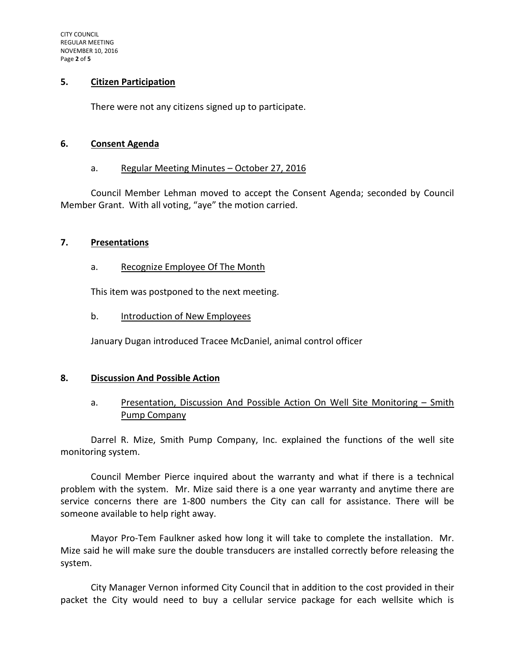#### **5. Citizen Participation**

There were not any citizens signed up to participate.

#### **6. Consent Agenda**

#### a. Regular Meeting Minutes – October 27, 2016

Council Member Lehman moved to accept the Consent Agenda; seconded by Council Member Grant. With all voting, "aye" the motion carried.

#### **7. Presentations**

### a. Recognize Employee Of The Month

This item was postponed to the next meeting.

### b. Introduction of New Employees

January Dugan introduced Tracee McDaniel, animal control officer

### **8. Discussion And Possible Action**

# a. Presentation, Discussion And Possible Action On Well Site Monitoring - Smith Pump Company

Darrel R. Mize, Smith Pump Company, Inc. explained the functions of the well site monitoring system.

Council Member Pierce inquired about the warranty and what if there is a technical problem with the system. Mr. Mize said there is a one year warranty and anytime there are service concerns there are 1-800 numbers the City can call for assistance. There will be someone available to help right away.

Mayor Pro-Tem Faulkner asked how long it will take to complete the installation. Mr. Mize said he will make sure the double transducers are installed correctly before releasing the system.

City Manager Vernon informed City Council that in addition to the cost provided in their packet the City would need to buy a cellular service package for each wellsite which is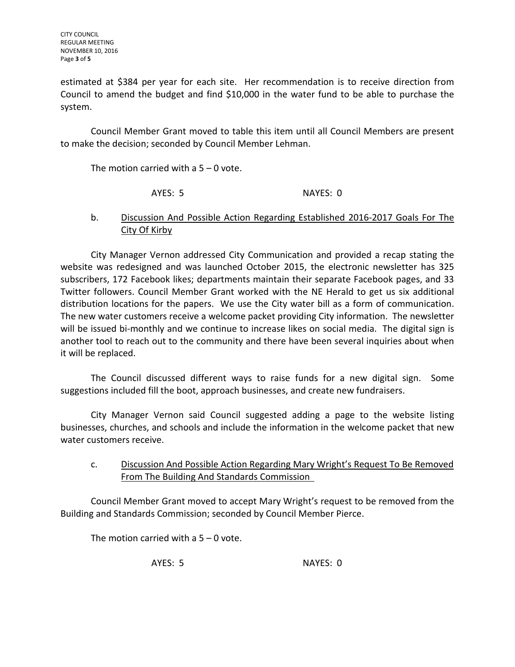estimated at \$384 per year for each site. Her recommendation is to receive direction from Council to amend the budget and find \$10,000 in the water fund to be able to purchase the system.

Council Member Grant moved to table this item until all Council Members are present to make the decision; seconded by Council Member Lehman.

The motion carried with a  $5 - 0$  vote.

AYES: 5 NAYES: 0

# b. Discussion And Possible Action Regarding Established 2016-2017 Goals For The City Of Kirby

City Manager Vernon addressed City Communication and provided a recap stating the website was redesigned and was launched October 2015, the electronic newsletter has 325 subscribers, 172 Facebook likes; departments maintain their separate Facebook pages, and 33 Twitter followers. Council Member Grant worked with the NE Herald to get us six additional distribution locations for the papers. We use the City water bill as a form of communication. The new water customers receive a welcome packet providing City information. The newsletter will be issued bi-monthly and we continue to increase likes on social media. The digital sign is another tool to reach out to the community and there have been several inquiries about when it will be replaced.

The Council discussed different ways to raise funds for a new digital sign. Some suggestions included fill the boot, approach businesses, and create new fundraisers.

City Manager Vernon said Council suggested adding a page to the website listing businesses, churches, and schools and include the information in the welcome packet that new water customers receive.

# c. Discussion And Possible Action Regarding Mary Wright's Request To Be Removed From The Building And Standards Commission

Council Member Grant moved to accept Mary Wright's request to be removed from the Building and Standards Commission; seconded by Council Member Pierce.

The motion carried with a 5 – 0 vote.

AYES: 5 NAYES: 0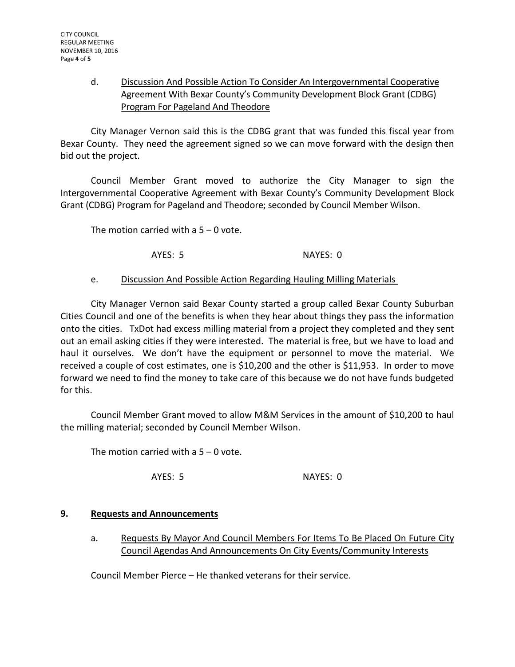# d. Discussion And Possible Action To Consider An Intergovernmental Cooperative Agreement With Bexar County's Community Development Block Grant (CDBG) Program For Pageland And Theodore

City Manager Vernon said this is the CDBG grant that was funded this fiscal year from Bexar County. They need the agreement signed so we can move forward with the design then bid out the project.

Council Member Grant moved to authorize the City Manager to sign the Intergovernmental Cooperative Agreement with Bexar County's Community Development Block Grant (CDBG) Program for Pageland and Theodore; seconded by Council Member Wilson.

The motion carried with a  $5 - 0$  vote.

AYES: 5 NAYES: 0

## e. Discussion And Possible Action Regarding Hauling Milling Materials

City Manager Vernon said Bexar County started a group called Bexar County Suburban Cities Council and one of the benefits is when they hear about things they pass the information onto the cities. TxDot had excess milling material from a project they completed and they sent out an email asking cities if they were interested. The material is free, but we have to load and haul it ourselves. We don't have the equipment or personnel to move the material. We received a couple of cost estimates, one is \$10,200 and the other is \$11,953. In order to move forward we need to find the money to take care of this because we do not have funds budgeted for this.

Council Member Grant moved to allow M&M Services in the amount of \$10,200 to haul the milling material; seconded by Council Member Wilson.

The motion carried with a  $5 - 0$  vote.

AYES: 5 NAYES: 0

# **9. Requests and Announcements**

a. Requests By Mayor And Council Members For Items To Be Placed On Future City Council Agendas And Announcements On City Events/Community Interests

Council Member Pierce – He thanked veterans for their service.